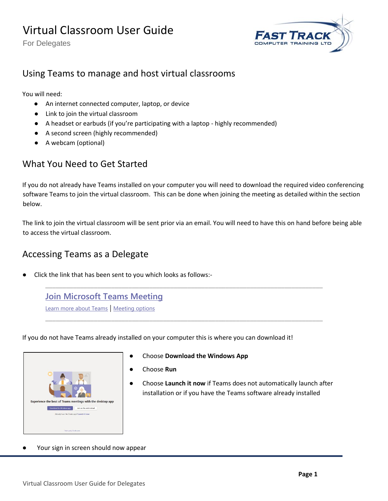For Delegates



## Using Teams to manage and host virtual classrooms

You will need:

- An internet connected computer, laptop, or device
- Link to join the virtual classroom
- A headset or earbuds (if you're participating with a laptop highly recommended)
- A second screen (highly recommended)
- A webcam (optional)

#### What You Need to Get Started

If you do not already have Teams installed on your computer you will need to download the required video conferencing software Teams to join the virtual classroom. This can be done when joining the meeting as detailed within the section below.

The link to join the virtual classroom will be sent prior via an email. You will need to have this on hand before being able to access the virtual classroom.

### Accessing Teams as a Delegate

Click the link that has been sent to you which looks as follows:-

**[Join Microsoft Teams Meeting](https://teams.microsoft.com/l/meetup-join/19%3ameeting_MzYzZTFmMGItODk4NS00ZDdiLThiNDgtMDNkNWNhOTg2YjJh%40thread.v2/0?context=%7b%22Tid%22%3a%22950c0012-15e2-480d-b0a3-fb0470d679aa%22%2c%22Oid%22%3a%2200c0eb28-8842-4283-a3b8-85675c61716d%22%7d)** [Learn more about Teams](https://aka.ms/JoinTeamsMeeting) | [Meeting options](https://teams.microsoft.com/meetingOptions/?organizerId=00c0eb28-8842-4283-a3b8-85675c61716d&tenantId=950c0012-15e2-480d-b0a3-fb0470d679aa&threadId=19_meeting_MzYzZTFmMGItODk4NS00ZDdiLThiNDgtMDNkNWNhOTg2YjJh@thread.v2&messageId=0&language=en-GB)

If you do not have Teams already installed on your computer this is where you can download it!



● Choose **Download the Windows App**

\_\_\_\_\_\_\_\_\_\_\_\_\_\_\_\_\_\_\_\_\_\_\_\_\_\_\_\_\_\_\_\_\_\_\_\_\_\_\_\_\_\_\_\_\_\_\_\_\_\_\_\_\_\_\_\_\_\_\_\_\_\_\_\_\_\_\_\_\_\_\_\_\_\_\_\_\_\_\_\_

\_\_\_\_\_\_\_\_\_\_\_\_\_\_\_\_\_\_\_\_\_\_\_\_\_\_\_\_\_\_\_\_\_\_\_\_\_\_\_\_\_\_\_\_\_\_\_\_\_\_\_\_\_\_\_\_\_\_\_\_\_\_\_\_\_\_\_\_\_\_\_\_\_\_\_\_\_\_\_\_

- Choose **Run**
- Choose **Launch it now** if Teams does not automatically launch after installation or if you have the Teams software already installed
- Your sign in screen should now appear